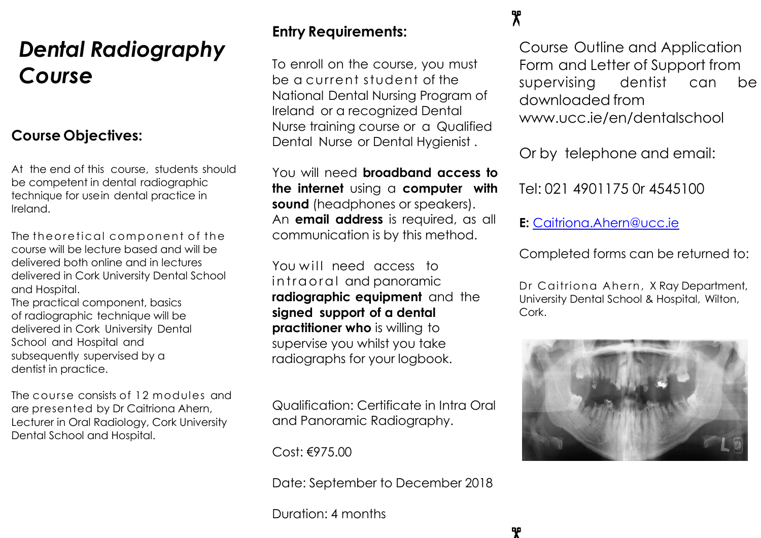# *Dental Radiography Course*

### **Course Objectives:**

At the end of this course, students should be competent in dental radiographic technique for usein dental practice in Ireland.

The theoretical component of the course will be lecture based and will be delivered both online and in lectures delivered in Cork University Dental School and Hospital.

The practical component, basics of radiographic technique will be delivered in Cork University Dental School and Hospital and subsequently supervised by a dentist in practice.

The course consists of 12 modules and are presented by Dr Caitriona Ahern, Lecturer in Oral Radiology, Cork University Dental School and Hospital.

## **Entry Requirements:**

To enroll on the course, you must be a current student of the National Dental Nursing Program of Ireland or a recognized Dental Nurse training course or a Qualified Dental Nurse or Dental Hygienist.

You will need **broadband access to the internet** using a **computer with sound** (headphones or speakers). An **email address** is required, as all communication is by this method.

You will need access to in traoral and panoramic **radiographic equipment** and the **signed support of a dental practitioner who** is willing to supervise you whilst you take radiographs for your logbook.

Qualification: Certificate in Intra Oral and Panoramic Radiography.

Cost: €975.00

Date: September to December 2018

Duration: 4 months

## $\mathbf{\mathcal{R}}$

ዋ

Course Outline and Application Form and Letter of Support from supervising dentist can be downloaded fro[m](http://www.ucc.ie/en/dentalschool) [www.ucc.ie/en/dentalschool](http://www.ucc.ie/en/dentalschool)

Or by telephone and email:

Tel: 021 4901175 0r 4545100

**E:** [Caitriona.Ahern@ucc.ie](mailto:Caitriona.Ahern@ucc.ie)

Completed forms can be returned to:

Dr Caitriona Ahern, X Ray Department, University Dental School & Hospital, Wilton, Cork.